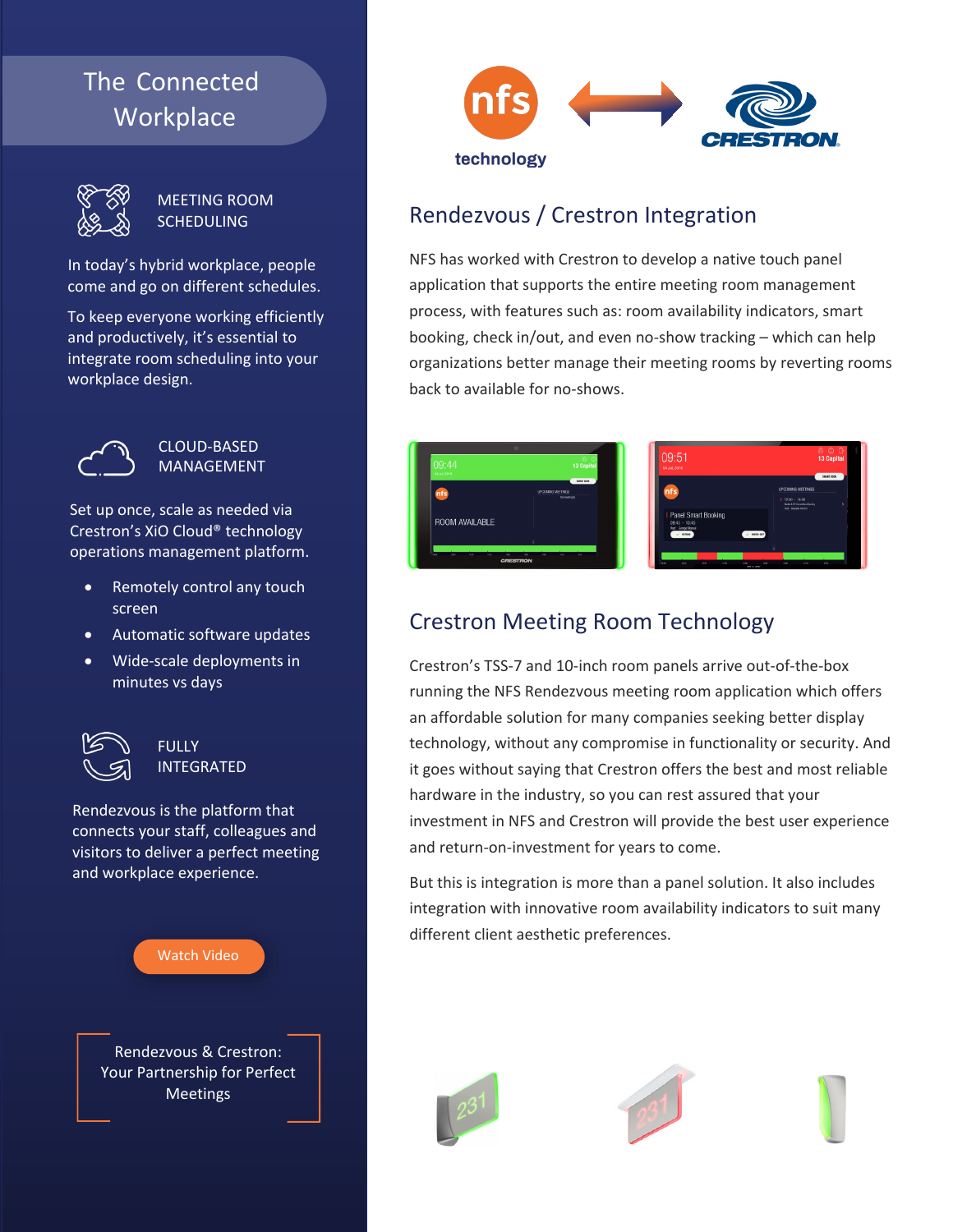# The Connected **Workplace**



–

MEETING ROOM **SCHEDULING** 

In today's hybrid workplace, people come and go on different schedules.

To keep everyone working efficiently and productively, it's essential to integrate room scheduling into your workplace design.



#### CLOUD-BASED MANAGEMENT

Set up once, scale as needed via Crestron's XiO Cloud® technology operations management platform.

- Remotely control any touch screen
- Automatic software updates
- Wide-scale deployments in minutes vs days



**FULLY** INTEGRATED

Rendezvous is the platform that connects your staff, colleagues and visitors to deliver a perfect meeting and workplace experience.





### Rendezvous / Crestron Integration

NFS has worked with Crestron to develop a native touch panel application that supports the entire meeting room management process, with features such as: room availability indicators, smart booking, check in/out, and even no-show tracking – which can help organizations better manage their meeting rooms by reverting rooms back to available for no-shows.

| 09:44<br>0434.2018                           | $\circ$ $\circ$ 3 Capital                               | 09:51<br>04:34.2018                                                                                                   | <b>@ 0 G</b><br>13 Capital<br>SMART BOOK                                 |
|----------------------------------------------|---------------------------------------------------------|-----------------------------------------------------------------------------------------------------------------------|--------------------------------------------------------------------------|
| nfs)                                         | SHART BOOK<br><b>LPOOMING MEETINGS</b><br>An meeting(s) | <b>nfs</b>                                                                                                            | <b>UPOOMING MEETINGS</b><br>$1200 - 1400$<br>Mede & PE Committee Meeting |
| <b>ROOM AVAILABLE</b>                        |                                                         | <b>I</b> Panel Smart Booking<br>$09.45 - 10.45$<br>Heet: George Manual<br>$\checkmark$ cross<br>$\checkmark$ DECK-BIT | Net: Georget Annet                                                       |
| <b>ALC</b><br><b>State</b><br>7.99<br>$\sim$ | 98<br>9.86<br><b>STAR</b><br><b>CRESTRON</b>            | 11.30<br>a.<br><b>BO</b><br>10.00<br>946<br><b>TEM COMMON</b>                                                         | 10.00<br><b>SOR</b><br>16.01<br><b>OH</b>                                |

## Crestron Meeting Room Technology

Crestron's TSS-7 and 10-inch room panels arrive out-of-the-box running the NFS Rendezvous meeting room application which offers an affordable solution for many companies seeking better display technology, without any compromise in functionality or security. And it goes without saying that Crestron offers the best and most reliable hardware in the industry, so you can rest assured that your investment in NFS and Crestron will provide the best user experience and return-on-investment for years to come.

But this is integration is more than a panel solution. It also includes integration with innovative room availability indicators to suit many different client aesthetic preferences.